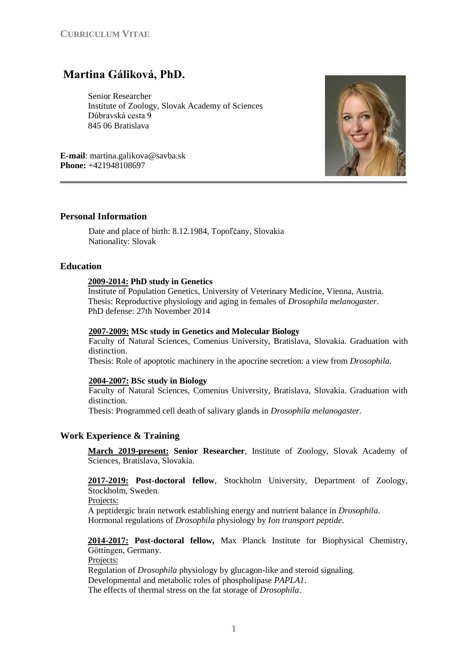# **Martina Gáliková, PhD.**

Senior Researcher Institute of Zoology, Slovak Academy of Sciences Dúbravská cesta 9 845 06 Bratislava

**E-mail**: martina.galikova@savba.sk **Phone:** +421948108697



Date and place of birth: 8.12.1984, Topoľčany, Slovakia Nationality: Slovak

## **Education**

#### **2009-2014: PhD study in Genetics**

Institute of Population Genetics, University of Veterinary Medicine, Vienna, Austria. Thesis: Reproductive physiology and aging in females of *Drosophila melanogaster*. PhD defense: 27th November 2014

### **2007-2009: MSc study in Genetics and Molecular Biology**

Faculty of Natural Sciences, Comenius University, Bratislava, Slovakia. Graduation with distinction.

Thesis: Role of apoptotic machinery in the apocrine secretion: a view from *Drosophila.*

#### **2004-2007: BSc study in Biology**

Faculty of Natural Sciences, Comenius University, Bratislava, Slovakia. Graduation with distinction.

Thesis: Programmed cell death of salivary glands in *Drosophila melanogaster*.

## **Work Experience & Training**

**March 2019-present: Senior Researcher**, Institute of Zoology, Slovak Academy of Sciences, Bratislava, Slovakia.

**2017-2019: Post-doctoral fellow**, Stockholm University, Department of Zoology, Stockholm, Sweden.

Projects:

A peptidergic brain network establishing energy and nutrient balance in *Drosophila*. Hormonal regulations of *Drosophila* physiology by *Ion transport peptide*.

**2014-2017: Post-doctoral fellow,** Max Planck Institute for Biophysical Chemistry, Göttingen, Germany.

Projects:

Regulation of *Drosophila* physiology by glucagon-like and steroid signaling. Developmental and metabolic roles of phospholipase *PAPLA1*. The effects of thermal stress on the fat storage of *Drosophila*.

1

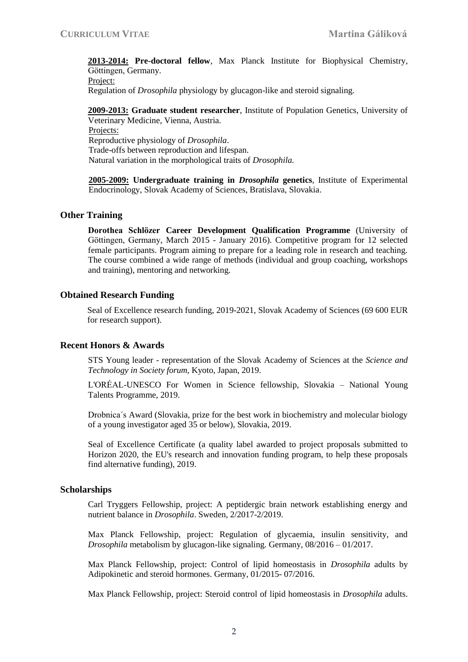**2013-2014: Pre-doctoral fellow**, Max Planck Institute for Biophysical Chemistry, Göttingen, Germany. Project:

Regulation of *Drosophila* physiology by glucagon-like and steroid signaling.

**2009-2013: Graduate student researcher**, Institute of Population Genetics, University of Veterinary Medicine, Vienna, Austria. Projects:

Reproductive physiology of *Drosophila*. Trade-offs between reproduction and lifespan. Natural variation in the morphological traits of *Drosophila.*

**2005-2009: Undergraduate training in** *Drosophila* **genetics**, Institute of Experimental Endocrinology, Slovak Academy of Sciences, Bratislava, Slovakia.

## **Other Training**

**Dorothea Schlözer Career Development Qualification Programme** (University of Göttingen, Germany, March 2015 - January 2016). Competitive program for 12 selected female participants. Program aiming to prepare for a leading role in research and teaching. The course combined a wide range of methods (individual and group coaching, workshops and training), mentoring and networking.

## **Obtained Research Funding**

Seal of Excellence research funding, 2019-2021, Slovak Academy of Sciences (69 600 EUR for research support).

#### **Recent Honors & Awards**

STS Young leader - representation of the Slovak Academy of Sciences at the *Science and Technology in Society forum*, Kyoto, Japan, 2019.

L'ORÉAL-UNESCO For Women in Science fellowship, Slovakia – National Young Talents Programme, 2019.

Drobnica´s Award (Slovakia, prize for the best work in biochemistry and molecular biology of a young investigator aged 35 or below), Slovakia, 2019.

Seal of Excellence Certificate (a quality label awarded to project proposals submitted to Horizon 2020, the EU's research and innovation funding program, to help these proposals find alternative funding), 2019.

#### **Scholarships**

Carl Tryggers Fellowship, project: A peptidergic brain network establishing energy and nutrient balance in *Drosophila*. Sweden, 2/2017-2/2019.

Max Planck Fellowship, project: Regulation of glycaemia, insulin sensitivity, and *Drosophila* metabolism by glucagon-like signaling. Germany, 08/2016 – 01/2017.

Max Planck Fellowship, project: Control of lipid homeostasis in *Drosophila* adults by Adipokinetic and steroid hormones. Germany, 01/2015- 07/2016.

Max Planck Fellowship, project: Steroid control of lipid homeostasis in *Drosophila* adults.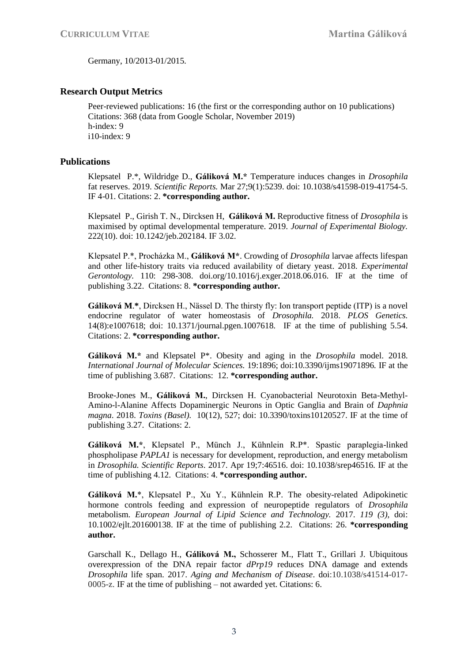Germany, 10/2013-01/2015.

# **Research Output Metrics**

Peer-reviewed publications: 16 (the first or the corresponding author on 10 publications) Citations: 368 (data from Google Scholar, November 2019) h-index: 9 i10-index: 9

# **Publications**

Klepsatel P.\*, Wildridge D., **Gáliková M.\*** Temperature induces changes in *Drosophila* fat reserves. 2019. *Scientific Reports.* Mar 27;9(1):5239. doi: 10.1038/s41598-019-41754-5. IF 4-01. Citations: 2. **\*corresponding author.**

Klepsatel P., Girish T. N., Dircksen H, **Gáliková M.** Reproductive fitness of *Drosophila* is maximised by optimal developmental temperature. 2019. *Journal of Experimental Biology.*  222(10). doi: 10.1242/jeb.202184. IF 3.02.

Klepsatel P.\*, Procházka M., **Gáliková M\***. Crowding of *Drosophila* larvae affects lifespan and other life-history traits via reduced availability of dietary yeast. 2018. *Experimental Gerontology.* 110: 298-308. doi.org/10.1016/j.exger.2018.06.016. IF at the time of publishing 3.22. Citations: 8. **\*corresponding author.** 

**Gáliková M**.**\***, Dircksen H., Nässel D. The thirsty fly: Ion transport peptide (ITP) is a novel endocrine regulator of water homeostasis of *Drosophila.* 2018. *PLOS Genetics.*  14(8):e1007618; doi: 10.1371/journal.pgen.1007618.IF at the time of publishing 5.54. Citations: 2. **\*corresponding author.**

**Gáliková M.\*** and Klepsatel P\*. Obesity and aging in the *Drosophila* model. 2018. *International Journal of Molecular Sciences.* 19:1896; doi:10.3390/ijms19071896*.* IF at the time of publishing 3.687. Citations: 12. **\*corresponding author.**

Brooke-Jones M., **Gáliková M.**, Dircksen H. Cyanobacterial Neurotoxin Beta-Methyl-Amino-l-Alanine Affects Dopaminergic Neurons in Optic Ganglia and Brain of *Daphnia magna*. 2018. *Toxins (Basel).* 10(12), 527; doi: 10.3390/toxins10120527. IF at the time of publishing 3.27. Citations: 2.

**Gáliková M.\***, Klepsatel P., Münch J., Kühnlein R.P\*. Spastic paraplegia-linked phospholipase *PAPLA1* is necessary for development, reproduction, and energy metabolism in *Drosophila. Scientific Reports*. 2017. Apr 19;7:46516. doi: 10.1038/srep46516. IF at the time of publishing 4.12. Citations: 4. **\*corresponding author.** 

**Gáliková M.**\*, Klepsatel P., Xu Y., Kühnlein R.P. The obesity-related Adipokinetic hormone controls feeding and expression of neuropeptide regulators of *Drosophila* metabolism. *European Journal of Lipid Science and Technology.* 2017. *119 (3),* doi: 10.1002/ejlt.201600138. IF at the time of publishing 2.2. Citations: 26. **\*corresponding author.**

Garschall K., Dellago H., **Gáliková M.,** Schosserer M., Flatt T., Grillari J. Ubiquitous overexpression of the DNA repair factor *dPrp19* reduces DNA damage and extends *Drosophila* life span. 2017. *Aging and Mechanism of Disease*. doi:10.1038/s41514-017- 0005-z. IF at the time of publishing – not awarded yet. Citations: 6.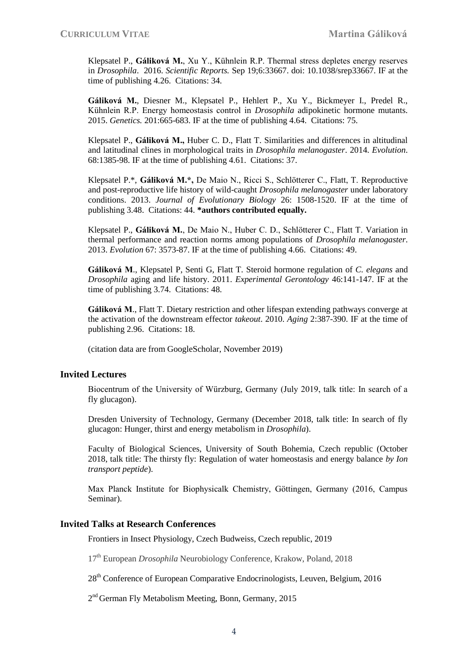Klepsatel P., **Gáliková M.**, Xu Y., Kühnlein R.P. Thermal stress depletes energy reserves in *Drosophila*. 2016. *Scientific Reports.* Sep 19;6:33667. doi: 10.1038/srep33667. IF at the time of publishing 4.26. Citations: 34.

**Gáliková M.**, Diesner M., Klepsatel P., Hehlert P., Xu Y., Bickmeyer I., Predel R., Kühnlein R.P. Energy homeostasis control in *Drosophila* adipokinetic hormone mutants. 2015. *Genetics.* 201:665-683. IF at the time of publishing 4.64. Citations: 75.

Klepsatel P., **Gáliková M.,** Huber C. D., Flatt T. Similarities and differences in altitudinal and latitudinal clines in morphological traits in *Drosophila melanogaster*. 2014. *Evolution*. 68:1385-98. IF at the time of publishing 4.61. Citations: 37.

Klepsatel P.\*, **Gáliková M.\*,** De Maio N., Ricci S., Schlötterer C., Flatt, T. Reproductive and post-reproductive life history of wild-caught *Drosophila melanogaster* under laboratory conditions. 2013. *Journal of Evolutionary Biology* 26: 1508-1520. IF at the time of publishing 3.48. Citations: 44. **\*authors contributed equally.** 

Klepsatel P., **Gáliková M.**, De Maio N., Huber C. D., Schlötterer C., Flatt T. Variation in thermal performance and reaction norms among populations of *Drosophila melanogaster*. 2013. *Evolution* 67: 3573-87. IF at the time of publishing 4.66. Citations: 49.

**Gáliková M**., Klepsatel P, Senti G, Flatt T. Steroid hormone regulation of *C. elegans* and *Drosophila* aging and life history. 2011. *Experimental Gerontology* 46:141-147. IF at the time of publishing 3.74. Citations: 48.

**Gáliková M**., Flatt T. Dietary restriction and other lifespan extending pathways converge at the activation of the downstream effector *takeout*. 2010. *Aging* 2:387-390. IF at the time of publishing 2.96. Citations: 18.

(citation data are from GoogleScholar, November 2019)

# **Invited Lectures**

Biocentrum of the University of Würzburg, Germany (July 2019, talk title: In search of a fly glucagon).

Dresden University of Technology, Germany (December 2018, talk title: In search of fly glucagon: Hunger, thirst and energy metabolism in *Drosophila*).

Faculty of Biological Sciences, University of South Bohemia, Czech republic (October 2018, talk title: The thirsty fly: Regulation of water homeostasis and energy balance *by Ion transport peptide*).

Max Planck Institute for Biophysicalk Chemistry, Göttingen, Germany (2016, Campus Seminar).

#### **Invited Talks at Research Conferences**

Frontiers in Insect Physiology, Czech Budweiss, Czech republic, 2019

17th European *Drosophila* Neurobiology Conference, Krakow, Poland, 2018

 $28<sup>th</sup>$  Conference of European Comparative Endocrinologists, Leuven, Belgium, 2016

2<sup>nd</sup> German Fly Metabolism Meeting, Bonn, Germany, 2015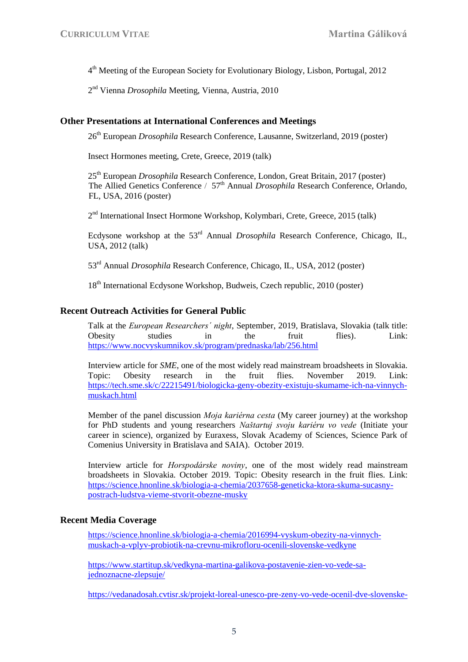4 th Meeting of the European Society for Evolutionary Biology, Lisbon, Portugal, 2012

2 nd Vienna *Drosophila* Meeting, Vienna, Austria, 2010

## **Other Presentations at International Conferences and Meetings**

26<sup>th</sup> European *Drosophila* Research Conference, Lausanne, Switzerland, 2019 (poster)

Insect Hormones meeting, Crete, Greece, 2019 (talk)

25th European *Drosophila* Research Conference, London, Great Britain, 2017 (poster) The Allied Genetics Conference / 57<sup>th</sup> Annual *Drosophila* Research Conference, Orlando, FL, USA, 2016 (poster)

2<sup>nd</sup> International Insect Hormone Workshop, Kolymbari, Crete, Greece, 2015 (talk)

Ecdysone workshop at the 53rd Annual *Drosophila* Research Conference, Chicago, IL, USA, 2012 (talk)

53rd Annual *Drosophila* Research Conference, Chicago, IL, USA, 2012 (poster)

18<sup>th</sup> International Ecdysone Workshop, Budweis, Czech republic, 2010 (poster)

# **Recent Outreach Activities for General Public**

Talk at the *European Researchers´ night*, September, 2019, Bratislava, Slovakia (talk title: Obesity studies in the fruit flies). Link: <https://www.nocvyskumnikov.sk/program/prednaska/lab/256.html>

Interview article for *SME*, one of the most widely read mainstream broadsheets in Slovakia. Topic: Obesity research in the fruit flies. November 2019. Link: [https://tech.sme.sk/c/22215491/biologicka-geny-obezity-existuju-skumame-ich-na-vinnych](https://tech.sme.sk/c/22215491/biologicka-geny-obezity-existuju-skumame-ich-na-vinnych-muskach.html)[muskach.html](https://tech.sme.sk/c/22215491/biologicka-geny-obezity-existuju-skumame-ich-na-vinnych-muskach.html)

Member of the panel discussion *Moja kariérna cesta* (My career journey) at the workshop for PhD students and young researchers *Naštartuj svoju kariéru vo vede* (Initiate your career in science), organized by Euraxess, Slovak Academy of Sciences, Science Park of Comenius University in Bratislava and SAIA). October 2019.

Interview article for *Horspodárske noviny*, one of the most widely read mainstream broadsheets in Slovakia. October 2019. Topic: Obesity research in the fruit flies. Link: [https://science.hnonline.sk/biologia-a-chemia/2037658-geneticka-ktora-skuma-sucasny](https://science.hnonline.sk/biologia-a-chemia/2037658-geneticka-ktora-skuma-sucasny-postrach-ludstva-vieme-stvorit-obezne-musky)[postrach-ludstva-vieme-stvorit-obezne-musky](https://science.hnonline.sk/biologia-a-chemia/2037658-geneticka-ktora-skuma-sucasny-postrach-ludstva-vieme-stvorit-obezne-musky)

# **Recent Media Coverage**

[https://science.hnonline.sk/biologia-a-chemia/2016994-vyskum-obezity-na-vinnych](https://science.hnonline.sk/biologia-a-chemia/2016994-vyskum-obezity-na-vinnych-muskach-a-vplyv-probiotik-na-crevnu-mikrofloru-ocenili-slovenske-vedkyne)[muskach-a-vplyv-probiotik-na-crevnu-mikrofloru-ocenili-slovenske-vedkyne](https://science.hnonline.sk/biologia-a-chemia/2016994-vyskum-obezity-na-vinnych-muskach-a-vplyv-probiotik-na-crevnu-mikrofloru-ocenili-slovenske-vedkyne)

[https://www.startitup.sk/vedkyna-martina-galikova-postavenie-zien-vo-vede-sa](https://www.startitup.sk/vedkyna-martina-galikova-postavenie-zien-vo-vede-sa-jednoznacne-zlepsuje/)[jednoznacne-zlepsuje/](https://www.startitup.sk/vedkyna-martina-galikova-postavenie-zien-vo-vede-sa-jednoznacne-zlepsuje/)

[https://vedanadosah.cvtisr.sk/projekt-loreal-unesco-pre-zeny-vo-vede-ocenil-dve-slovenske-](https://vedanadosah.cvtisr.sk/projekt-loreal-unesco-pre-zeny-vo-vede-ocenil-dve-slovenske-vyskumnicky)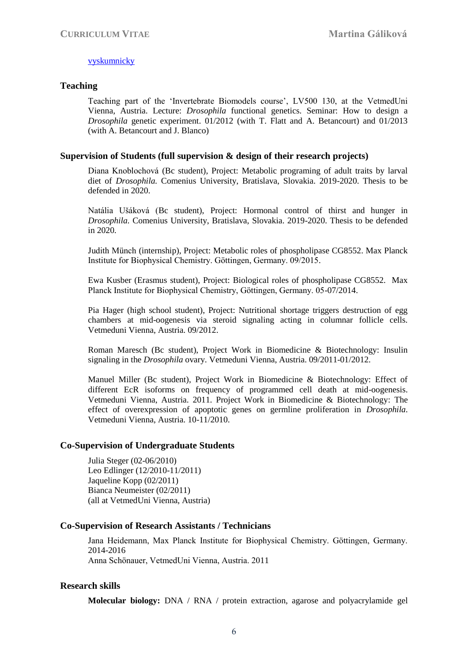## [vyskumnicky](https://vedanadosah.cvtisr.sk/projekt-loreal-unesco-pre-zeny-vo-vede-ocenil-dve-slovenske-vyskumnicky)

## **Teaching**

Teaching part of the 'Invertebrate Biomodels course', LV500 130, at the VetmedUni Vienna, Austria. Lecture: *Drosophila* functional genetics. Seminar: How to design a *Drosophila* genetic experiment. 01/2012 (with T. Flatt and A. Betancourt) and 01/2013 (with A. Betancourt and J. Blanco)

# **Supervision of Students (full supervision & design of their research projects)**

Diana Knoblochová (Bc student), Project: Metabolic programing of adult traits by larval diet of *Drosophila.* Comenius University, Bratislava, Slovakia. 2019-2020. Thesis to be defended in 2020.

Natália Ušáková (Bc student), Project: Hormonal control of thirst and hunger in *Drosophila.* Comenius University, Bratislava, Slovakia. 2019-2020. Thesis to be defended in 2020.

Judith Münch (internship), Project: Metabolic roles of phospholipase CG8552. Max Planck Institute for Biophysical Chemistry. Göttingen, Germany. 09/2015.

Ewa Kusber (Erasmus student), Project: Biological roles of phospholipase CG8552. Max Planck Institute for Biophysical Chemistry, Göttingen, Germany. 05-07/2014.

Pia Hager (high school student), Project: Nutritional shortage triggers destruction of egg chambers at mid-oogenesis via steroid signaling acting in columnar follicle cells. Vetmeduni Vienna, Austria. 09/2012.

Roman Maresch (Bc student), Project Work in Biomedicine & Biotechnology: Insulin signaling in the *Drosophila* ovary. Vetmeduni Vienna, Austria. 09/2011-01/2012.

Manuel Miller (Bc student), Project Work in Biomedicine & Biotechnology: Effect of different EcR isoforms on frequency of programmed cell death at mid-oogenesis. Vetmeduni Vienna, Austria. 2011. Project Work in Biomedicine & Biotechnology: The effect of overexpression of apoptotic genes on germline proliferation in *Drosophila*. Vetmeduni Vienna, Austria. 10-11/2010.

#### **Co-Supervision of Undergraduate Students**

Julia Steger (02-06/2010) Leo Edlinger (12/2010-11/2011) Jaqueline Kopp (02/2011) Bianca Neumeister (02/2011) (all at VetmedUni Vienna, Austria)

#### **Co-Supervision of Research Assistants / Technicians**

Jana Heidemann, Max Planck Institute for Biophysical Chemistry. Göttingen, Germany. 2014-2016 Anna Schönauer, VetmedUni Vienna, Austria. 2011

# **Research skills**

**Molecular biology:** DNA / RNA / protein extraction, agarose and polyacrylamide gel